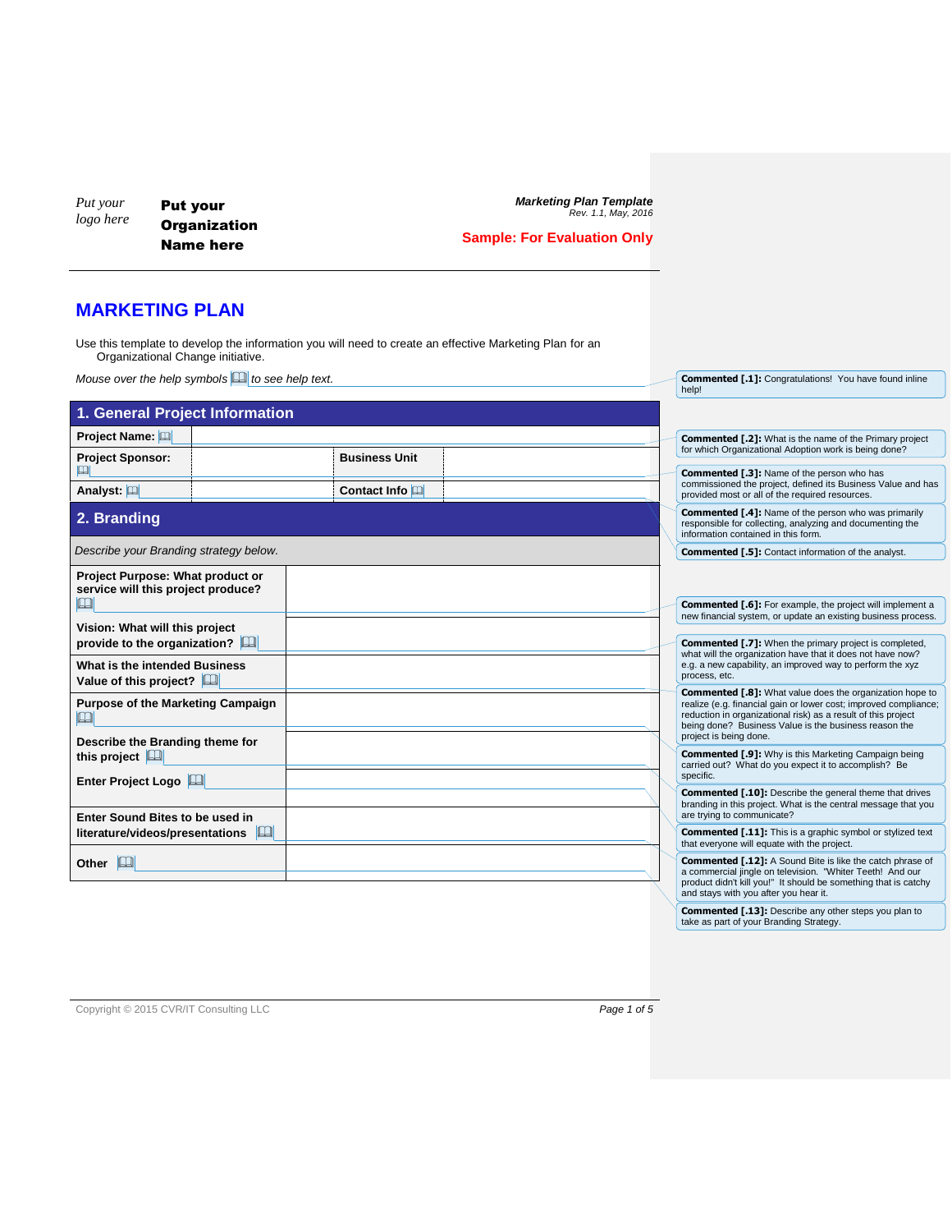*Put your logo here* Put your **Organization** Name here

*Marketing Plan Template Rev. 1.1, May, 2016*

**Commented [.1]:** Congratulations! You have found inline help!

## **Sample: For Evaluation Only**

## **MARKETING PLAN**

Use this template to develop the information you will need to create an effective Marketing Plan for an Organizational Change initiative.

*Mouse over the help symbols to see help text.*

| 1. General Project Information                                         |  |                      |  |  |                                                                                                                                                                                                                                                                                         |
|------------------------------------------------------------------------|--|----------------------|--|--|-----------------------------------------------------------------------------------------------------------------------------------------------------------------------------------------------------------------------------------------------------------------------------------------|
| Project Name: [11]                                                     |  | <b>Business Unit</b> |  |  | <b>Commented [.2]:</b> What is the name of the Primary project<br>for which Organizational Adoption work is being done?                                                                                                                                                                 |
| <b>Project Sponsor:</b><br>回                                           |  |                      |  |  | <b>Commented [.3]:</b> Name of the person who has<br>commissioned the project, defined its Business Value and has                                                                                                                                                                       |
| Analyst: [11]                                                          |  | Contact Info         |  |  | provided most or all of the required resources.                                                                                                                                                                                                                                         |
| 2. Branding                                                            |  |                      |  |  | <b>Commented [.4]:</b> Name of the person who was primarily<br>responsible for collecting, analyzing and documenting the<br>information contained in this form.                                                                                                                         |
| Describe your Branding strategy below.                                 |  |                      |  |  | <b>Commented [.5]:</b> Contact information of the analyst.                                                                                                                                                                                                                              |
| Project Purpose: What product or<br>service will this project produce? |  |                      |  |  |                                                                                                                                                                                                                                                                                         |
| $\mathbb{H}$<br>Vision: What will this project                         |  |                      |  |  | <b>Commented [.6]:</b> For example, the project will implement a<br>new financial system, or update an existing business process.                                                                                                                                                       |
| provide to the organization?                                           |  |                      |  |  | <b>Commented [.7]:</b> When the primary project is completed,<br>what will the organization have that it does not have now?                                                                                                                                                             |
| What is the intended Business<br>Value of this project?                |  |                      |  |  | e.g. a new capability, an improved way to perform the xyz<br>process, etc.                                                                                                                                                                                                              |
| Purpose of the Marketing Campaign<br>$\Box$                            |  |                      |  |  | <b>Commented [.8]:</b> What value does the organization hope to<br>realize (e.g. financial gain or lower cost; improved compliance;<br>reduction in organizational risk) as a result of this project<br>being done? Business Value is the business reason the<br>project is being done. |
| Describe the Branding theme for<br>this project $\Box$                 |  |                      |  |  | <b>Commented [.9]:</b> Why is this Marketing Campaign being<br>carried out? What do you expect it to accomplish? Be                                                                                                                                                                     |
| Enter Project Logo                                                     |  |                      |  |  | specific.                                                                                                                                                                                                                                                                               |
| Enter Sound Bites to be used in                                        |  |                      |  |  | <b>Commented [.10]:</b> Describe the general theme that drives<br>branding in this project. What is the central message that you<br>are trying to communicate?                                                                                                                          |
| literature/videos/presentations                                        |  |                      |  |  | <b>Commented [.11]:</b> This is a graphic symbol or stylized text<br>that everyone will equate with the project.                                                                                                                                                                        |
| Other <b>P</b>                                                         |  |                      |  |  | <b>Commented [.12]:</b> A Sound Bite is like the catch phrase of<br>a commercial jingle on television. "Whiter Teeth! And our<br>product didn't kill you!" It should be something that is catchy<br>and stays with you after you hear it.                                               |
|                                                                        |  |                      |  |  | Commented [.13]: Describe any other steps you plan to<br>take as part of your Branding Strategy.                                                                                                                                                                                        |